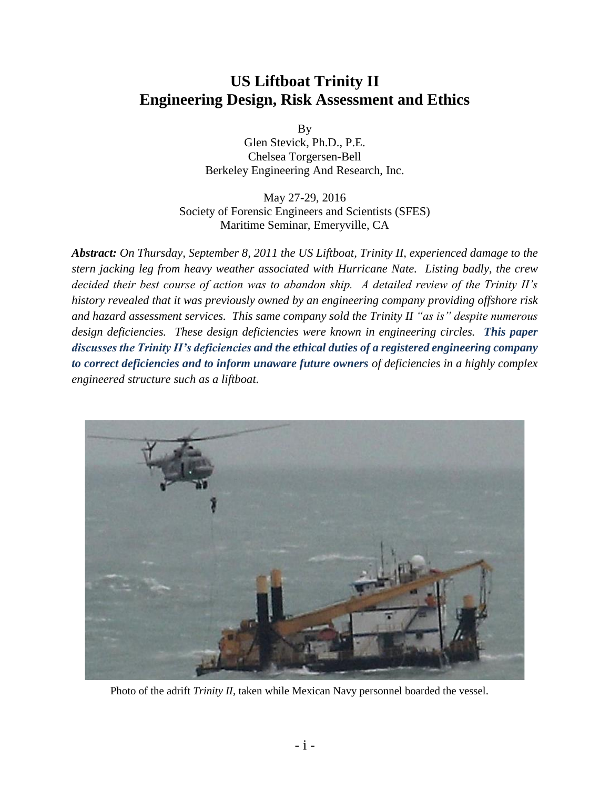# **US Liftboat Trinity II Engineering Design, Risk Assessment and Ethics**

By

Glen Stevick, Ph.D., P.E. Chelsea Torgersen-Bell Berkeley Engineering And Research, Inc.

May 27-29, 2016 Society of Forensic Engineers and Scientists (SFES) Maritime Seminar, Emeryville, CA

*Abstract: On Thursday, September 8, 2011 the US Liftboat, Trinity II, experienced damage to the stern jacking leg from heavy weather associated with Hurricane Nate. Listing badly, the crew decided their best course of action was to abandon ship. A detailed review of the Trinity II's history revealed that it was previously owned by an engineering company providing offshore risk and hazard assessment services. This same company sold the Trinity II "as is" despite numerous design deficiencies. These design deficiencies were known in engineering circles. This paper discusses the Trinity II's deficiencies and the ethical duties of a registered engineering company to correct deficiencies and to inform unaware future owners of deficiencies in a highly complex engineered structure such as a liftboat.*



Photo of the adrift *Trinity II*, taken while Mexican Navy personnel boarded the vessel.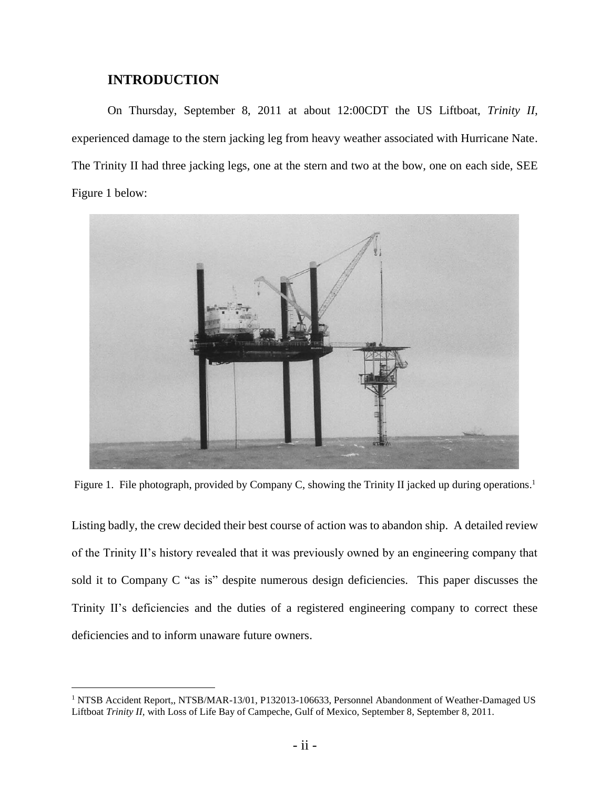## **INTRODUCTION**

l

On Thursday, September 8, 2011 at about 12:00CDT the US Liftboat, *Trinity II,* experienced damage to the stern jacking leg from heavy weather associated with Hurricane Nate. The Trinity II had three jacking legs, one at the stern and two at the bow, one on each side, SEE Figure 1 below:



Figure 1. File photograph, provided by Company C, showing the Trinity II jacked up during operations.<sup>1</sup>

Listing badly, the crew decided their best course of action was to abandon ship. A detailed review of the Trinity II's history revealed that it was previously owned by an engineering company that sold it to Company C "as is" despite numerous design deficiencies. This paper discusses the Trinity II's deficiencies and the duties of a registered engineering company to correct these deficiencies and to inform unaware future owners.

<sup>1</sup> NTSB Accident Report,, NTSB/MAR-13/01, P132013-106633, Personnel Abandonment of Weather-Damaged US Liftboat *Trinity II,* with Loss of Life Bay of Campeche, Gulf of Mexico, September 8, September 8, 2011.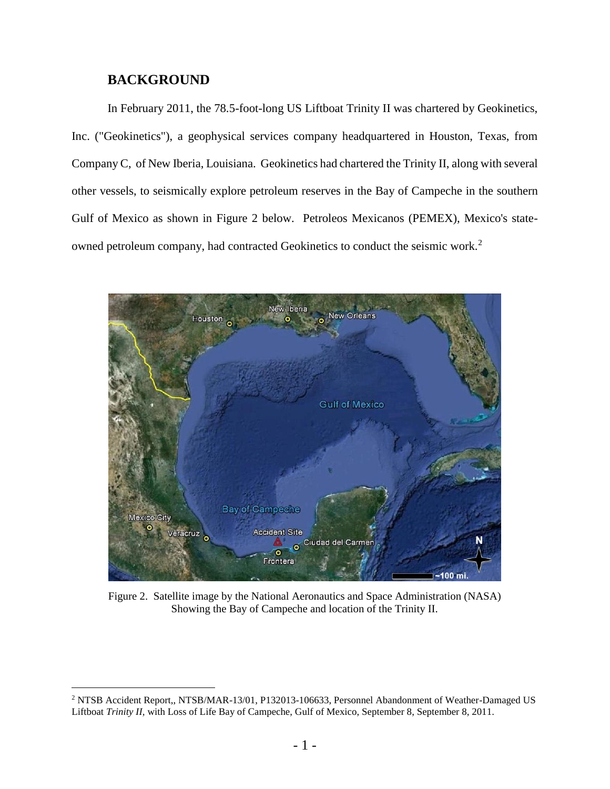#### **BACKGROUND**

l

In February 2011, the 78.5-foot-long US Liftboat Trinity II was chartered by Geokinetics, Inc. ("Geokinetics"), a geophysical services company headquartered in Houston, Texas, from Company C, of New Iberia, Louisiana. Geokinetics had chartered the Trinity II, along with several other vessels, to seismically explore petroleum reserves in the Bay of Campeche in the southern Gulf of Mexico as shown in Figure 2 below. Petroleos Mexicanos (PEMEX), Mexico's stateowned petroleum company, had contracted Geokinetics to conduct the seismic work.<sup>2</sup>



Figure 2. Satellite image by the National Aeronautics and Space Administration (NASA) Showing the Bay of Campeche and location of the Trinity II.

<sup>2</sup> NTSB Accident Report,, NTSB/MAR-13/01, P132013-106633, Personnel Abandonment of Weather-Damaged US Liftboat *Trinity II,* with Loss of Life Bay of Campeche, Gulf of Mexico, September 8, September 8, 2011.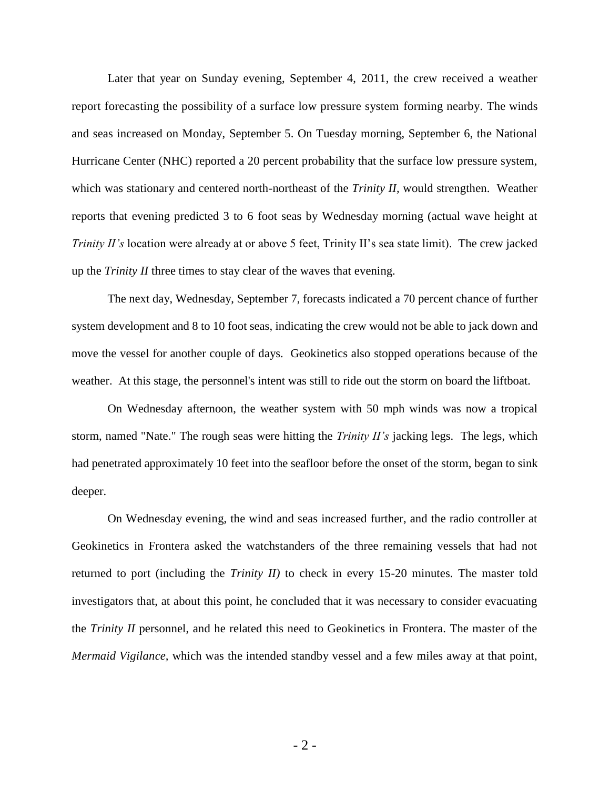Later that year on Sunday evening, September 4, 2011, the crew received a weather report forecasting the possibility of a surface low pressure system forming nearby. The winds and seas increased on Monday, September 5. On Tuesday morning, September 6, the National Hurricane Center (NHC) reported a 20 percent probability that the surface low pressure system, which was stationary and centered north-northeast of the *Trinity II,* would strengthen. Weather reports that evening predicted 3 to 6 foot seas by Wednesday morning (actual wave height at *Trinity II's* location were already at or above 5 feet, Trinity II's sea state limit). The crew jacked up the *Trinity II* three times to stay clear of the waves that evening.

The next day, Wednesday, September 7, forecasts indicated a 70 percent chance of further system development and 8 to 10 foot seas, indicating the crew would not be able to jack down and move the vessel for another couple of days. Geokinetics also stopped operations because of the weather. At this stage, the personnel's intent was still to ride out the storm on board the liftboat.

On Wednesday afternoon, the weather system with 50 mph winds was now a tropical storm, named "Nate." The rough seas were hitting the *Trinity II's* jacking legs. The legs, which had penetrated approximately 10 feet into the seafloor before the onset of the storm, began to sink deeper.

On Wednesday evening, the wind and seas increased further, and the radio controller at Geokinetics in Frontera asked the watchstanders of the three remaining vessels that had not returned to port (including the *Trinity II)* to check in every 15-20 minutes. The master told investigators that, at about this point, he concluded that it was necessary to consider evacuating the *Trinity II* personnel, and he related this need to Geokinetics in Frontera. The master of the *Mermaid Vigilance,* which was the intended standby vessel and a few miles away at that point,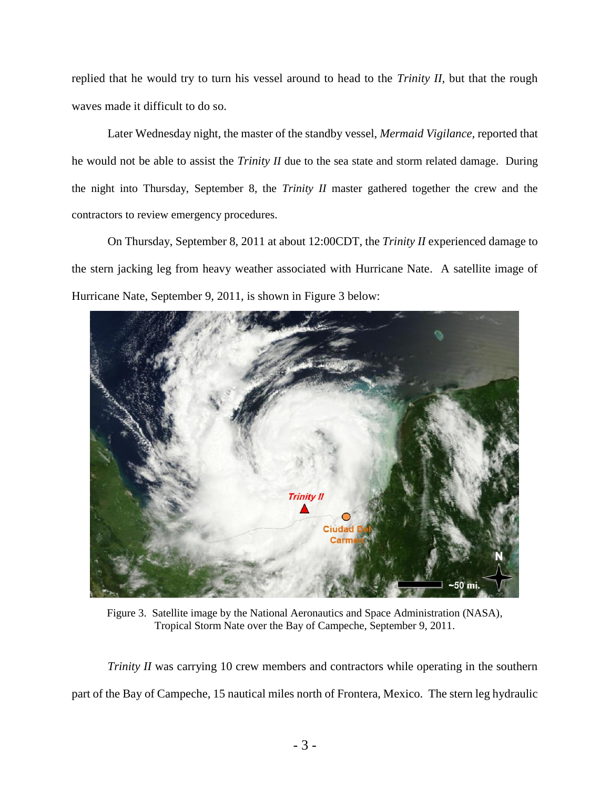replied that he would try to turn his vessel around to head to the *Trinity II,* but that the rough waves made it difficult to do so.

Later Wednesday night, the master of the standby vessel, *Mermaid Vigilance,* reported that he would not be able to assist the *Trinity II* due to the sea state and storm related damage. During the night into Thursday, September 8, the *Trinity II* master gathered together the crew and the contractors to review emergency procedures.

On Thursday, September 8, 2011 at about 12:00CDT, the *Trinity II* experienced damage to the stern jacking leg from heavy weather associated with Hurricane Nate. A satellite image of Hurricane Nate, September 9, 2011, is shown in Figure 3 below:



Figure 3. Satellite image by the National Aeronautics and Space Administration (NASA), Tropical Storm Nate over the Bay of Campeche, September 9, 2011.

*Trinity II* was carrying 10 crew members and contractors while operating in the southern part of the Bay of Campeche, 15 nautical miles north of Frontera, Mexico. The stern leg hydraulic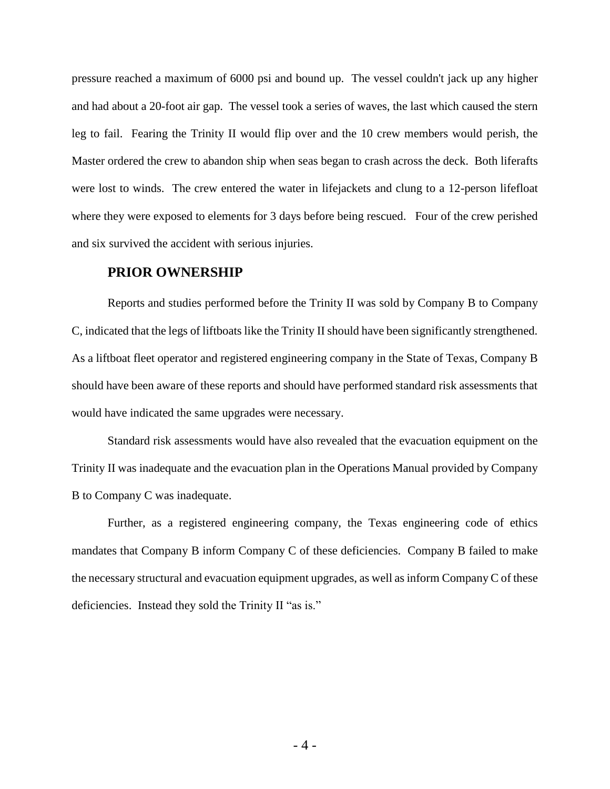pressure reached a maximum of 6000 psi and bound up. The vessel couldn't jack up any higher and had about a 20-foot air gap. The vessel took a series of waves, the last which caused the stern leg to fail. Fearing the Trinity II would flip over and the 10 crew members would perish, the Master ordered the crew to abandon ship when seas began to crash across the deck. Both liferafts were lost to winds. The crew entered the water in lifejackets and clung to a 12-person lifefloat where they were exposed to elements for 3 days before being rescued. Four of the crew perished and six survived the accident with serious injuries.

#### **PRIOR OWNERSHIP**

Reports and studies performed before the Trinity II was sold by Company B to Company C, indicated that the legs of liftboats like the Trinity II should have been significantly strengthened. As a liftboat fleet operator and registered engineering company in the State of Texas, Company B should have been aware of these reports and should have performed standard risk assessments that would have indicated the same upgrades were necessary.

Standard risk assessments would have also revealed that the evacuation equipment on the Trinity II was inadequate and the evacuation plan in the Operations Manual provided by Company B to Company C was inadequate.

Further, as a registered engineering company, the Texas engineering code of ethics mandates that Company B inform Company C of these deficiencies. Company B failed to make the necessary structural and evacuation equipment upgrades, as well as inform Company C of these deficiencies. Instead they sold the Trinity II "as is."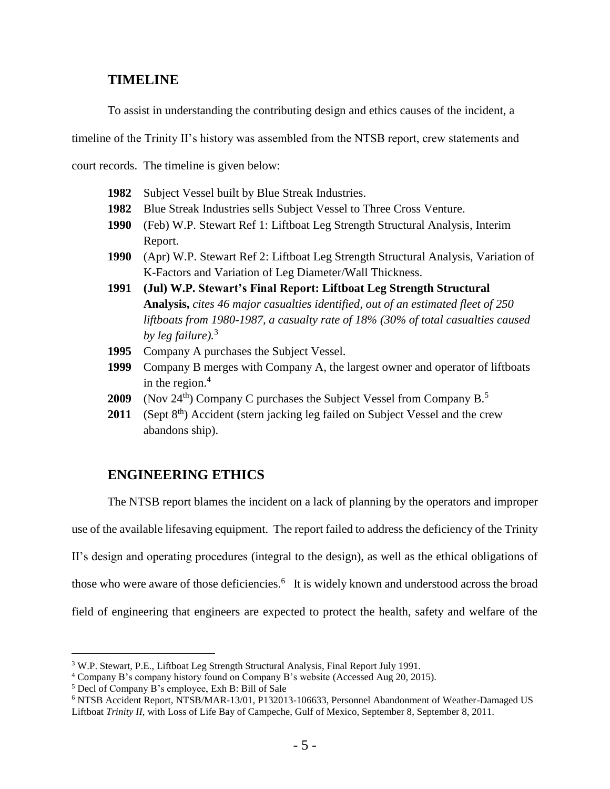#### **TIMELINE**

To assist in understanding the contributing design and ethics causes of the incident, a

timeline of the Trinity II's history was assembled from the NTSB report, crew statements and

court records. The timeline is given below:

- **1982** Subject Vessel built by Blue Streak Industries.
- **1982** Blue Streak Industries sells Subject Vessel to Three Cross Venture.
- **1990** (Feb) W.P. Stewart Ref 1: Liftboat Leg Strength Structural Analysis, Interim Report.
- **1990** (Apr) W.P. Stewart Ref 2: Liftboat Leg Strength Structural Analysis, Variation of K-Factors and Variation of Leg Diameter/Wall Thickness.
- **1991 (Jul) W.P. Stewart's Final Report: Liftboat Leg Strength Structural Analysis,** *cites 46 major casualties identified, out of an estimated fleet of 250 liftboats from 1980-1987, a casualty rate of 18% (30% of total casualties caused by leg failure).*<sup>3</sup>
- **1995** Company A purchases the Subject Vessel.
- **1999** Company B merges with Company A, the largest owner and operator of liftboats in the region. 4
- **2009** (Nov  $24^{th}$ ) Company C purchases the Subject Vessel from Company B.<sup>5</sup>
- **2011** (Sept 8<sup>th</sup>) Accident (stern jacking leg failed on Subject Vessel and the crew abandons ship).

## **ENGINEERING ETHICS**

The NTSB report blames the incident on a lack of planning by the operators and improper use of the available lifesaving equipment. The report failed to address the deficiency of the Trinity II's design and operating procedures (integral to the design), as well as the ethical obligations of those who were aware of those deficiencies.<sup>6</sup> It is widely known and understood across the broad field of engineering that engineers are expected to protect the health, safety and welfare of the

<sup>3</sup> W.P. Stewart, P.E., Liftboat Leg Strength Structural Analysis, Final Report July 1991.

<sup>4</sup> [Company](http://www.superiorenergy.com/about/history/) B's company history found on Company B's website (Accessed Aug 20, 2015).

<sup>5</sup> Decl of Company B's employee, Exh B: Bill of Sale

<sup>6</sup> NTSB Accident Report, NTSB/MAR-13/01, P132013-106633, Personnel Abandonment of Weather-Damaged US Liftboat *Trinity II,* with Loss of Life Bay of Campeche, Gulf of Mexico, September 8, September 8, 2011.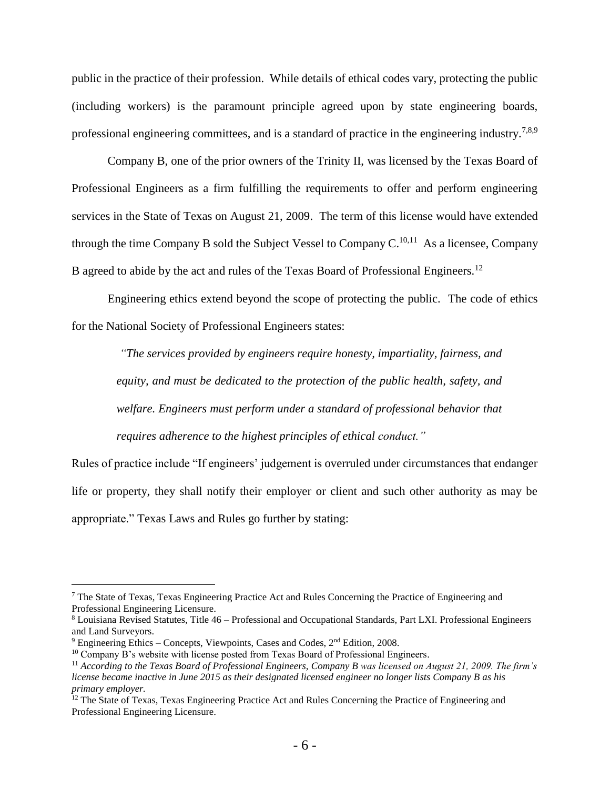public in the practice of their profession. While details of ethical codes vary, protecting the public (including workers) is the paramount principle agreed upon by state engineering boards, professional engineering committees, and is a standard of practice in the engineering industry.<sup>7,8,9</sup>

Company B, one of the prior owners of the Trinity II, was licensed by the Texas Board of Professional Engineers as a firm fulfilling the requirements to offer and perform engineering services in the State of Texas on August 21, 2009. The term of this license would have extended through the time Company B sold the Subject Vessel to Company  $C^{10,11}$  As a licensee, Company B agreed to abide by the act and rules of the Texas Board of Professional Engineers.<sup>12</sup>

Engineering ethics extend beyond the scope of protecting the public. The code of ethics for the National Society of Professional Engineers states:

*"The services provided by engineers require honesty, impartiality, fairness, and equity, and must be dedicated to the protection of the public health, safety, and welfare. Engineers must perform under a standard of professional behavior that requires adherence to the highest principles of ethical conduct."* 

Rules of practice include "If engineers' judgement is overruled under circumstances that endanger life or property, they shall notify their employer or client and such other authority as may be appropriate." Texas Laws and Rules go further by stating:

<sup>7</sup> The State of Texas, Texas Engineering Practice Act and Rules Concerning the Practice of Engineering and Professional Engineering Licensure.

<sup>8</sup> Louisiana Revised Statutes, Title 46 – Professional and Occupational Standards, Part LXI. Professional Engineers and Land Surveyors.

 $9$  Engineering Ethics – Concepts, Viewpoints, Cases and Codes,  $2<sup>nd</sup>$  Edition, 2008.

<sup>&</sup>lt;sup>10</sup> Company B's website with license posted from Texas Board of Professional Engineers.

<sup>11</sup> *According to the Texas Board of Professional Engineers, Company B was licensed on August 21, 2009. The firm's license became inactive in June 2015 as their designated licensed engineer no longer lists Company B as his primary employer.* 

<sup>&</sup>lt;sup>12</sup> The State of Texas, Texas Engineering Practice Act and Rules Concerning the Practice of Engineering and Professional Engineering Licensure.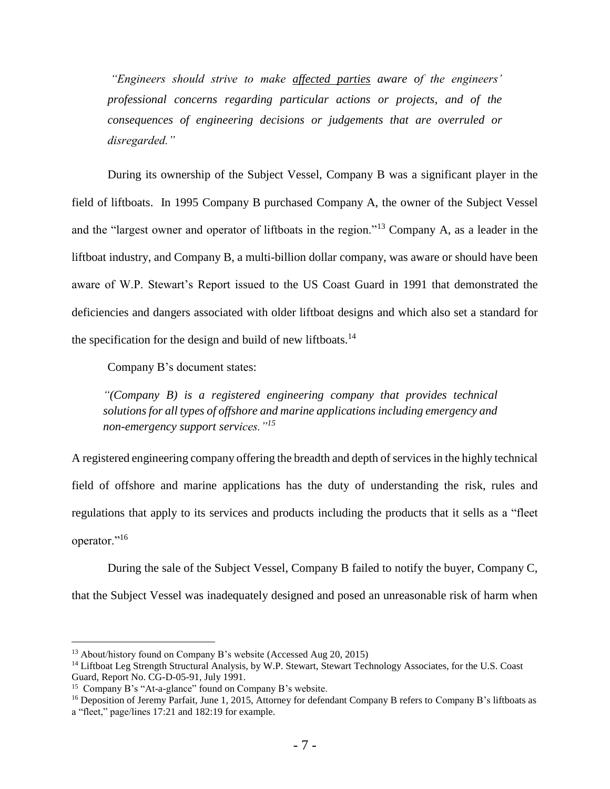*"Engineers should strive to make affected parties aware of the engineers' professional concerns regarding particular actions or projects, and of the consequences of engineering decisions or judgements that are overruled or disregarded."*

During its ownership of the Subject Vessel, Company B was a significant player in the field of liftboats. In 1995 Company B purchased Company A, the owner of the Subject Vessel and the "largest owner and operator of liftboats in the region."<sup>13</sup> Company A, as a leader in the liftboat industry, and Company B, a multi-billion dollar company, was aware or should have been aware of W.P. Stewart's Report issued to the US Coast Guard in 1991 that demonstrated the deficiencies and dangers associated with older liftboat designs and which also set a standard for the specification for the design and build of new liftboats.<sup>14</sup>

Company B's document states:

*"(Company B) is a registered engineering company that provides technical solutions for all types of offshore and marine applications including emergency and non-emergency support services."<sup>15</sup>*

A registered engineering company offering the breadth and depth of services in the highly technical field of offshore and marine applications has the duty of understanding the risk, rules and regulations that apply to its services and products including the products that it sells as a "fleet operator."<sup>16</sup>

During the sale of the Subject Vessel, Company B failed to notify the buyer, Company C, that the Subject Vessel was inadequately designed and posed an unreasonable risk of harm when

<sup>13</sup> About/history found on Company B's website (Accessed Aug 20, 2015)

<sup>&</sup>lt;sup>14</sup> Liftboat Leg Strength Structural Analysis, by W.P. Stewart, Stewart Technology Associates, for the U.S. Coast Guard, Report No. CG-D-05-91, July 1991.

<sup>15</sup> Company B's "At-a-glance" found on Company B's website.

<sup>&</sup>lt;sup>16</sup> Deposition of Jeremy Parfait, June 1, 2015, Attorney for defendant Company B refers to Company B's liftboats as a "fleet," page/lines 17:21 and 182:19 for example.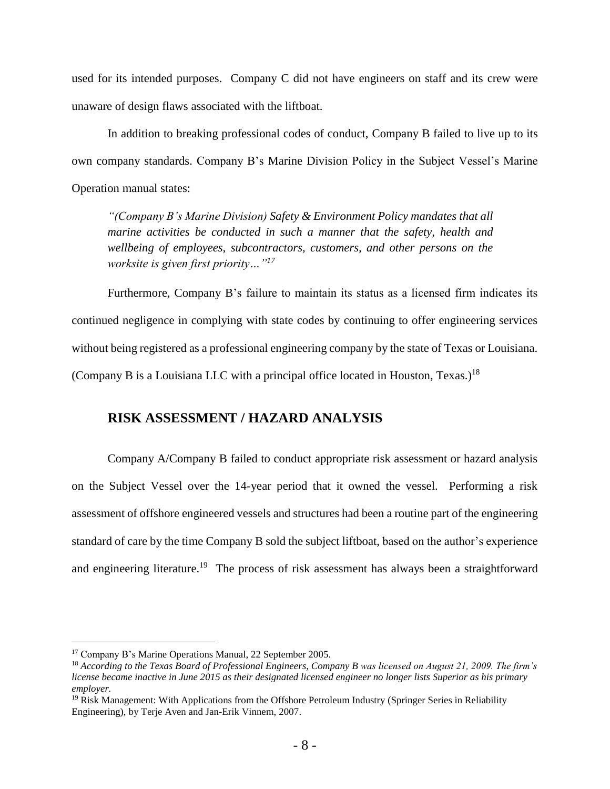used for its intended purposes. Company C did not have engineers on staff and its crew were unaware of design flaws associated with the liftboat.

In addition to breaking professional codes of conduct, Company B failed to live up to its own company standards. Company B's Marine Division Policy in the Subject Vessel's Marine Operation manual states:

*"(Company B's Marine Division) Safety & Environment Policy mandates that all marine activities be conducted in such a manner that the safety, health and wellbeing of employees, subcontractors, customers, and other persons on the worksite is given first priority…"<sup>17</sup>*

Furthermore, Company B's failure to maintain its status as a licensed firm indicates its continued negligence in complying with state codes by continuing to offer engineering services without being registered as a professional engineering company by the state of Texas or Louisiana. (Company B is a Louisiana LLC with a principal office located in Houston, Texas.)<sup>18</sup>

## **RISK ASSESSMENT / HAZARD ANALYSIS**

Company A/Company B failed to conduct appropriate risk assessment or hazard analysis on the Subject Vessel over the 14-year period that it owned the vessel. Performing a risk assessment of offshore engineered vessels and structures had been a routine part of the engineering standard of care by the time Company B sold the subject liftboat, based on the author's experience and engineering literature.<sup>19</sup> The process of risk assessment has always been a straightforward

<sup>17</sup> Company B's Marine Operations Manual, 22 September 2005.

<sup>18</sup> *According to the Texas Board of Professional Engineers, Company B was licensed on August 21, 2009. The firm's license became inactive in June 2015 as their designated licensed engineer no longer lists Superior as his primary employer.* 

 $19$  Risk Management: With Applications from the Offshore Petroleum Industry (Springer Series in Reliability Engineering), by Terje Aven and Jan-Erik Vinnem, 2007.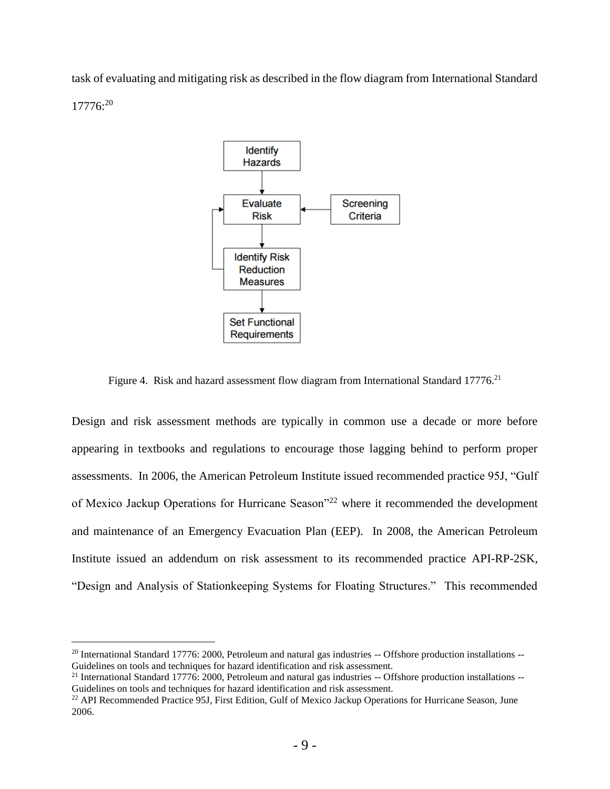task of evaluating and mitigating risk as described in the flow diagram from International Standard 17776:<sup>20</sup>



Figure 4. Risk and hazard assessment flow diagram from International Standard 17776.<sup>21</sup>

Design and risk assessment methods are typically in common use a decade or more before appearing in textbooks and regulations to encourage those lagging behind to perform proper assessments. In 2006, the American Petroleum Institute issued recommended practice 95J, "Gulf of Mexico Jackup Operations for Hurricane Season"<sup>22</sup> where it recommended the development and maintenance of an Emergency Evacuation Plan (EEP). In 2008, the American Petroleum Institute issued an addendum on risk assessment to its recommended practice API-RP-2SK, "Design and Analysis of Stationkeeping Systems for Floating Structures." This recommended

<sup>&</sup>lt;sup>20</sup> International Standard 17776: 2000, Petroleum and natural gas industries -- Offshore production installations --Guidelines on tools and techniques for hazard identification and risk assessment.

 $21$  International Standard 17776: 2000, Petroleum and natural gas industries  $-$  Offshore production installations  $-$ Guidelines on tools and techniques for hazard identification and risk assessment.

<sup>&</sup>lt;sup>22</sup> API Recommended Practice 95J, First Edition, Gulf of Mexico Jackup Operations for Hurricane Season, June 2006.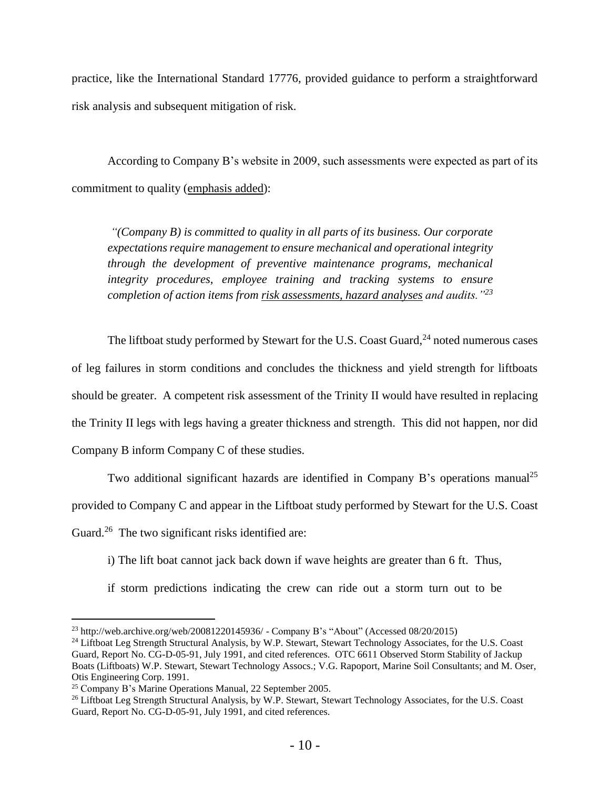practice, like the International Standard 17776, provided guidance to perform a straightforward risk analysis and subsequent mitigation of risk.

According to Company B's website in 2009, such assessments were expected as part of its commitment to quality (emphasis added):

*"(Company B) is committed to quality in all parts of its business. Our corporate expectations require management to ensure mechanical and operational integrity through the development of preventive maintenance programs, mechanical integrity procedures, employee training and tracking systems to ensure completion of action items from risk assessments, hazard analyses and audits."<sup>23</sup>*

The liftboat study performed by Stewart for the U.S. Coast Guard,<sup>24</sup> noted numerous cases of leg failures in storm conditions and concludes the thickness and yield strength for liftboats should be greater. A competent risk assessment of the Trinity II would have resulted in replacing the Trinity II legs with legs having a greater thickness and strength. This did not happen, nor did Company B inform Company C of these studies.

Two additional significant hazards are identified in Company B's operations manual<sup>25</sup> provided to Company C and appear in the Liftboat study performed by Stewart for the U.S. Coast Guard.<sup>26</sup> The two significant risks identified are:

i) The lift boat cannot jack back down if wave heights are greater than 6 ft. Thus,

if storm predictions indicating the crew can ride out a storm turn out to be

<sup>23</sup> <http://web.archive.org/web/20081220145936/> - Company B's "About" (Accessed 08/20/2015)

<sup>&</sup>lt;sup>24</sup> Liftboat Leg Strength Structural Analysis, by W.P. Stewart, Stewart Technology Associates, for the U.S. Coast Guard, Report No. CG-D-05-91, July 1991, and cited references. OTC 6611 Observed Storm Stability of Jackup Boats (Liftboats) W.P. Stewart, Stewart Technology Assocs.; V.G. Rapoport, Marine Soil Consultants; and M. Oser, Otis Engineering Corp. 1991.

<sup>25</sup> Company B's Marine Operations Manual, 22 September 2005.

<sup>&</sup>lt;sup>26</sup> Liftboat Leg Strength Structural Analysis, by W.P. Stewart, Stewart Technology Associates, for the U.S. Coast Guard, Report No. CG-D-05-91, July 1991, and cited references.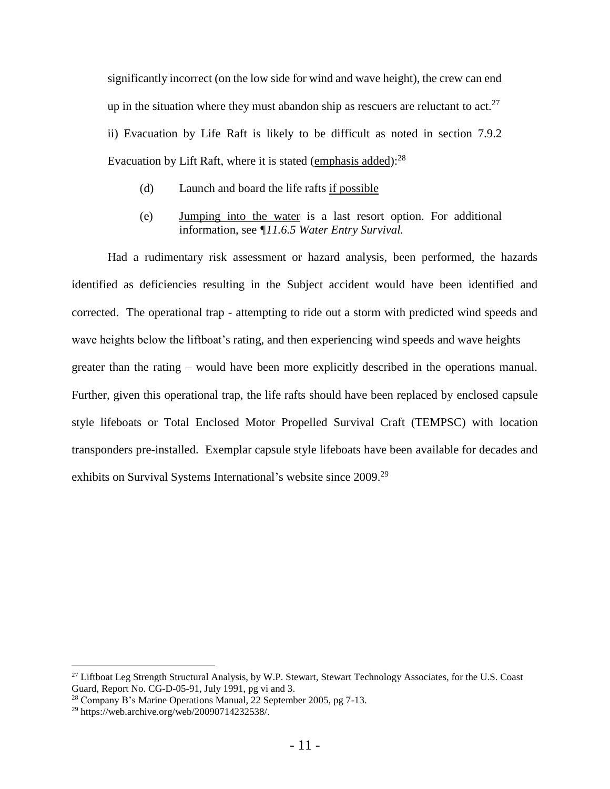significantly incorrect (on the low side for wind and wave height), the crew can end up in the situation where they must abandon ship as rescuers are reluctant to act.<sup>27</sup> ii) Evacuation by Life Raft is likely to be difficult as noted in section 7.9.2 Evacuation by Lift Raft, where it is stated (emphasis added):<sup>28</sup>

- (d) Launch and board the life rafts if possible
- (e) Jumping into the water is a last resort option. For additional information, see *¶11.6.5 Water Entry Survival.*

Had a rudimentary risk assessment or hazard analysis, been performed, the hazards identified as deficiencies resulting in the Subject accident would have been identified and corrected. The operational trap - attempting to ride out a storm with predicted wind speeds and wave heights below the liftboat's rating, and then experiencing wind speeds and wave heights greater than the rating – would have been more explicitly described in the operations manual. Further, given this operational trap, the life rafts should have been replaced by enclosed capsule style lifeboats or Total Enclosed Motor Propelled Survival Craft (TEMPSC) with location transponders pre-installed. Exemplar capsule style lifeboats have been available for decades and exhibits on Survival Systems International's website since 2009.<sup>29</sup>

<sup>&</sup>lt;sup>27</sup> Liftboat Leg Strength Structural Analysis, by W.P. Stewart, Stewart Technology Associates, for the U.S. Coast Guard, Report No. CG-D-05-91, July 1991, pg vi and 3.

<sup>28</sup> Company B's Marine Operations Manual, 22 September 2005, pg 7-13.

<sup>29</sup> https://web.archive.org/web/20090714232538/.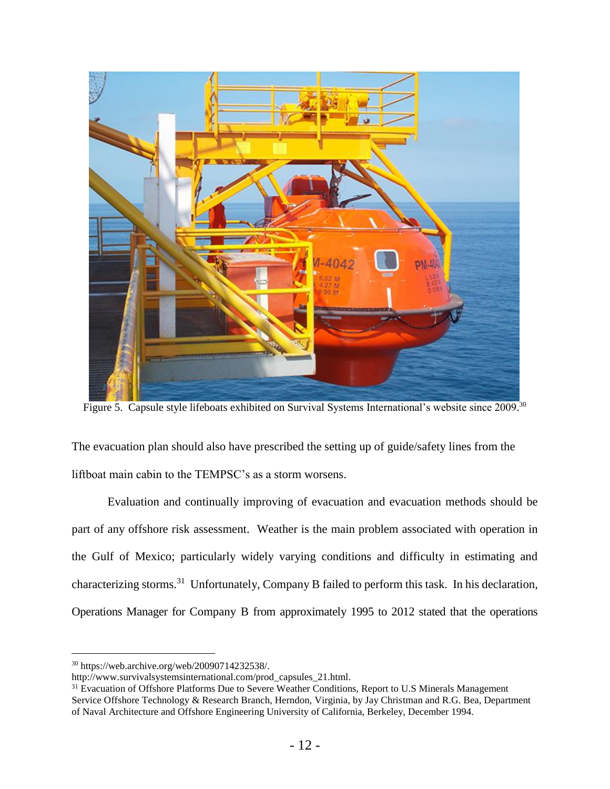

Figure 5. Capsule style lifeboats exhibited on Survival Systems International's website since 2009.<sup>30</sup>

The evacuation plan should also have prescribed the setting up of guide/safety lines from the liftboat main cabin to the TEMPSC's as a storm worsens.

Evaluation and continually improving of evacuation and evacuation methods should be part of any offshore risk assessment. Weather is the main problem associated with operation in the Gulf of Mexico; particularly widely varying conditions and difficulty in estimating and characterizing storms.<sup>31</sup> Unfortunately, Company B failed to perform this task. In his declaration, Operations Manager for Company B from approximately 1995 to 2012 stated that the operations

<sup>30</sup> https://web.archive.org/web/20090714232538/.

http://www.survivalsystemsinternational.com/prod\_capsules\_21.html.

<sup>&</sup>lt;sup>31</sup> Evacuation of Offshore Platforms Due to Severe Weather Conditions, Report to U.S Minerals Management Service Offshore Technology & Research Branch, Herndon, Virginia, by Jay Christman and R.G. Bea, Department of Naval Architecture and Offshore Engineering University of California, Berkeley, December 1994.